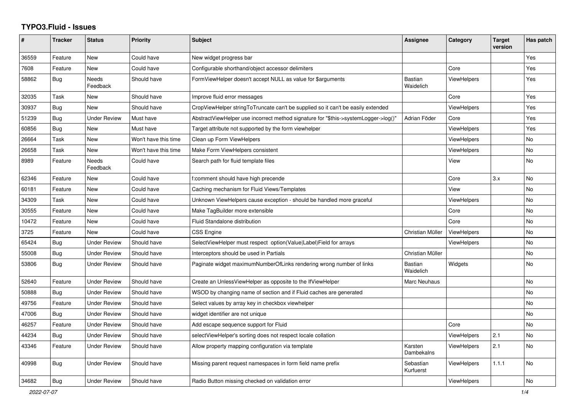## **TYPO3.Fluid - Issues**

| #     | <b>Tracker</b> | <b>Status</b>            | <b>Priority</b>      | <b>Subject</b>                                                                      | Assignee                    | Category           | <b>Target</b><br>version | Has patch      |
|-------|----------------|--------------------------|----------------------|-------------------------------------------------------------------------------------|-----------------------------|--------------------|--------------------------|----------------|
| 36559 | Feature        | New                      | Could have           | New widget progress bar                                                             |                             |                    |                          | Yes            |
| 7608  | Feature        | New                      | Could have           | Configurable shorthand/object accessor delimiters                                   |                             | Core               |                          | Yes            |
| 58862 | Bug            | Needs<br>Feedback        | Should have          | FormViewHelper doesn't accept NULL as value for \$arguments                         | <b>Bastian</b><br>Waidelich | ViewHelpers        |                          | Yes            |
| 32035 | Task           | New                      | Should have          | Improve fluid error messages                                                        |                             | Core               |                          | Yes            |
| 30937 | Bug            | New                      | Should have          | CropViewHelper stringToTruncate can't be supplied so it can't be easily extended    |                             | <b>ViewHelpers</b> |                          | Yes            |
| 51239 | Bug            | <b>Under Review</b>      | Must have            | AbstractViewHelper use incorrect method signature for "\$this->systemLogger->log()" | Adrian Föder                | Core               |                          | Yes            |
| 60856 | Bug            | <b>New</b>               | Must have            | Target attribute not supported by the form viewhelper                               |                             | ViewHelpers        |                          | Yes            |
| 26664 | Task           | New                      | Won't have this time | Clean up Form ViewHelpers                                                           |                             | ViewHelpers        |                          | <b>No</b>      |
| 26658 | Task           | New                      | Won't have this time | Make Form ViewHelpers consistent                                                    |                             | <b>ViewHelpers</b> |                          | No             |
| 8989  | Feature        | <b>Needs</b><br>Feedback | Could have           | Search path for fluid template files                                                |                             | View               |                          | No             |
| 62346 | Feature        | New                      | Could have           | f:comment should have high precende                                                 |                             | Core               | 3.x                      | <b>No</b>      |
| 60181 | Feature        | New                      | Could have           | Caching mechanism for Fluid Views/Templates                                         |                             | View               |                          | No             |
| 34309 | Task           | <b>New</b>               | Could have           | Unknown ViewHelpers cause exception - should be handled more graceful               |                             | ViewHelpers        |                          | <b>No</b>      |
| 30555 | Feature        | New                      | Could have           | Make TagBuilder more extensible                                                     |                             | Core               |                          | <b>No</b>      |
| 10472 | Feature        | <b>New</b>               | Could have           | <b>Fluid Standalone distribution</b>                                                |                             | Core               |                          | <b>No</b>      |
| 3725  | Feature        | <b>New</b>               | Could have           | CSS Engine                                                                          | Christian Müller            | <b>ViewHelpers</b> |                          | <b>No</b>      |
| 65424 | Bug            | Under Review             | Should have          | SelectViewHelper must respect option(Value Label)Field for arrays                   |                             | <b>ViewHelpers</b> |                          | <b>No</b>      |
| 55008 | Bug            | <b>Under Review</b>      | Should have          | Interceptors should be used in Partials                                             | Christian Müller            |                    |                          | No             |
| 53806 | Bug            | <b>Under Review</b>      | Should have          | Paginate widget maximumNumberOfLinks rendering wrong number of links                | <b>Bastian</b><br>Waidelich | Widgets            |                          | No             |
| 52640 | Feature        | <b>Under Review</b>      | Should have          | Create an UnlessViewHelper as opposite to the IfViewHelper                          | Marc Neuhaus                |                    |                          | <b>No</b>      |
| 50888 | Bug            | <b>Under Review</b>      | Should have          | WSOD by changing name of section and if Fluid caches are generated                  |                             |                    |                          | <b>No</b>      |
| 49756 | Feature        | <b>Under Review</b>      | Should have          | Select values by array key in checkbox viewhelper                                   |                             |                    |                          | N <sub>o</sub> |
| 47006 | <b>Bug</b>     | <b>Under Review</b>      | Should have          | widget identifier are not unique                                                    |                             |                    |                          | No             |
| 46257 | Feature        | <b>Under Review</b>      | Should have          | Add escape sequence support for Fluid                                               |                             | Core               |                          | No             |
| 44234 | Bug            | <b>Under Review</b>      | Should have          | selectViewHelper's sorting does not respect locale collation                        |                             | <b>ViewHelpers</b> | 2.1                      | <b>No</b>      |
| 43346 | Feature        | <b>Under Review</b>      | Should have          | Allow property mapping configuration via template                                   | Karsten<br>Dambekalns       | <b>ViewHelpers</b> | 2.1                      | <b>No</b>      |
| 40998 | Bug            | Under Review             | Should have          | Missing parent request namespaces in form field name prefix                         | Sebastian<br>Kurfuerst      | <b>ViewHelpers</b> | 1.1.1                    | <b>No</b>      |
| 34682 | Bug            | <b>Under Review</b>      | Should have          | Radio Button missing checked on validation error                                    |                             | ViewHelpers        |                          | <b>No</b>      |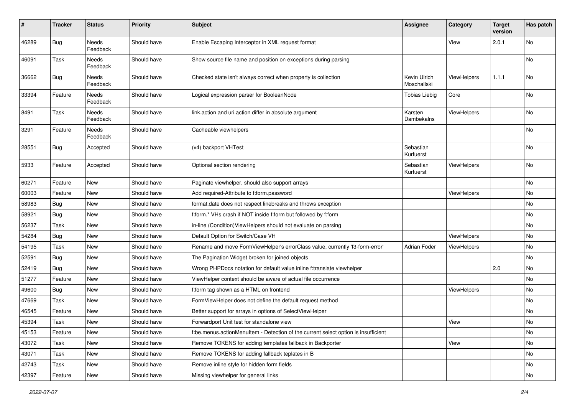| $\#$  | <b>Tracker</b> | <b>Status</b>            | <b>Priority</b> | <b>Subject</b>                                                                     | <b>Assignee</b>             | Category           | <b>Target</b><br>version | Has patch |
|-------|----------------|--------------------------|-----------------|------------------------------------------------------------------------------------|-----------------------------|--------------------|--------------------------|-----------|
| 46289 | Bug            | <b>Needs</b><br>Feedback | Should have     | Enable Escaping Interceptor in XML request format                                  |                             | View               | 2.0.1                    | <b>No</b> |
| 46091 | Task           | Needs<br>Feedback        | Should have     | Show source file name and position on exceptions during parsing                    |                             |                    |                          | No        |
| 36662 | Bug            | Needs<br>Feedback        | Should have     | Checked state isn't always correct when property is collection                     | Kevin Ulrich<br>Moschallski | ViewHelpers        | 1.1.1                    | No        |
| 33394 | Feature        | Needs<br>Feedback        | Should have     | Logical expression parser for BooleanNode                                          | <b>Tobias Liebig</b>        | Core               |                          | No        |
| 8491  | Task           | Needs<br>Feedback        | Should have     | link.action and uri.action differ in absolute argument                             | Karsten<br>Dambekalns       | ViewHelpers        |                          | No        |
| 3291  | Feature        | Needs<br>Feedback        | Should have     | Cacheable viewhelpers                                                              |                             |                    |                          | No        |
| 28551 | Bug            | Accepted                 | Should have     | (v4) backport VHTest                                                               | Sebastian<br>Kurfuerst      |                    |                          | No        |
| 5933  | Feature        | Accepted                 | Should have     | Optional section rendering                                                         | Sebastian<br>Kurfuerst      | ViewHelpers        |                          | No        |
| 60271 | Feature        | New                      | Should have     | Paginate viewhelper, should also support arrays                                    |                             |                    |                          | No        |
| 60003 | Feature        | New                      | Should have     | Add required-Attribute to f:form.password                                          |                             | <b>ViewHelpers</b> |                          | No        |
| 58983 | Bug            | New                      | Should have     | format.date does not respect linebreaks and throws exception                       |                             |                    |                          | No        |
| 58921 | Bug            | <b>New</b>               | Should have     | f:form.* VHs crash if NOT inside f:form but followed by f:form                     |                             |                    |                          | No        |
| 56237 | Task           | New                      | Should have     | in-line (Condition) View Helpers should not evaluate on parsing                    |                             |                    |                          | No        |
| 54284 | Bug            | New                      | Should have     | Default Option for Switch/Case VH                                                  |                             | ViewHelpers        |                          | No        |
| 54195 | Task           | New                      | Should have     | Rename and move FormViewHelper's errorClass value, currently 'f3-form-error'       | Adrian Föder                | <b>ViewHelpers</b> |                          | No        |
| 52591 | Bug            | New                      | Should have     | The Pagination Widget broken for joined objects                                    |                             |                    |                          | No        |
| 52419 | Bug            | <b>New</b>               | Should have     | Wrong PHPDocs notation for default value inline f:translate viewhelper             |                             |                    | 2.0                      | <b>No</b> |
| 51277 | Feature        | New                      | Should have     | ViewHelper context should be aware of actual file occurrence                       |                             |                    |                          | No        |
| 49600 | Bug            | New                      | Should have     | f:form tag shown as a HTML on frontend                                             |                             | ViewHelpers        |                          | No        |
| 47669 | Task           | <b>New</b>               | Should have     | FormViewHelper does not define the default request method                          |                             |                    |                          | No        |
| 46545 | Feature        | New                      | Should have     | Better support for arrays in options of SelectViewHelper                           |                             |                    |                          | No        |
| 45394 | Task           | New                      | Should have     | Forwardport Unit test for standalone view                                          |                             | View               |                          | No        |
| 45153 | Feature        | New                      | Should have     | f:be.menus.actionMenuItem - Detection of the current select option is insufficient |                             |                    |                          | No        |
| 43072 | Task           | New                      | Should have     | Remove TOKENS for adding templates fallback in Backporter                          |                             | View               |                          | No        |
| 43071 | Task           | New                      | Should have     | Remove TOKENS for adding fallback teplates in B                                    |                             |                    |                          | No        |
| 42743 | Task           | New                      | Should have     | Remove inline style for hidden form fields                                         |                             |                    |                          | No        |
| 42397 | Feature        | New                      | Should have     | Missing viewhelper for general links                                               |                             |                    |                          | No        |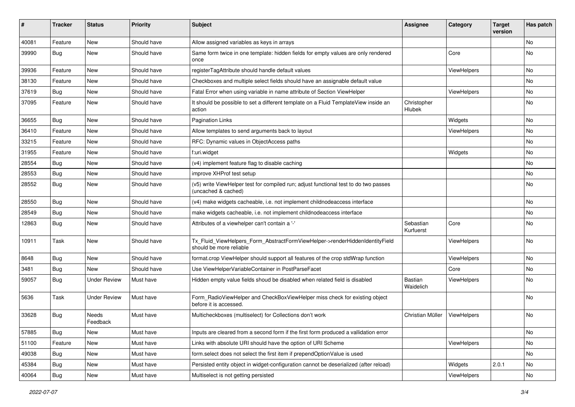| ∦     | <b>Tracker</b> | <b>Status</b>       | <b>Priority</b> | <b>Subject</b>                                                                                              | <b>Assignee</b>        | Category    | <b>Target</b><br>version | Has patch |
|-------|----------------|---------------------|-----------------|-------------------------------------------------------------------------------------------------------------|------------------------|-------------|--------------------------|-----------|
| 40081 | Feature        | New                 | Should have     | Allow assigned variables as keys in arrays                                                                  |                        |             |                          | No        |
| 39990 | Bug            | New                 | Should have     | Same form twice in one template: hidden fields for empty values are only rendered<br>once                   |                        | Core        |                          | No        |
| 39936 | Feature        | <b>New</b>          | Should have     | registerTagAttribute should handle default values                                                           |                        | ViewHelpers |                          | No        |
| 38130 | Feature        | New                 | Should have     | Checkboxes and multiple select fields should have an assignable default value                               |                        |             |                          | No        |
| 37619 | Bug            | New                 | Should have     | Fatal Error when using variable in name attribute of Section ViewHelper                                     |                        | ViewHelpers |                          | No.       |
| 37095 | Feature        | New                 | Should have     | It should be possible to set a different template on a Fluid TemplateView inside an<br>action               | Christopher<br>Hlubek  |             |                          | No        |
| 36655 | Bug            | New                 | Should have     | <b>Pagination Links</b>                                                                                     |                        | Widgets     |                          | No        |
| 36410 | Feature        | New                 | Should have     | Allow templates to send arguments back to layout                                                            |                        | ViewHelpers |                          | No        |
| 33215 | Feature        | New                 | Should have     | RFC: Dynamic values in ObjectAccess paths                                                                   |                        |             |                          | No        |
| 31955 | Feature        | New                 | Should have     | f:uri.widget                                                                                                |                        | Widgets     |                          | No        |
| 28554 | Bug            | New                 | Should have     | (v4) implement feature flag to disable caching                                                              |                        |             |                          | No        |
| 28553 | Bug            | <b>New</b>          | Should have     | improve XHProf test setup                                                                                   |                        |             |                          | No        |
| 28552 | Bug            | New                 | Should have     | (v5) write ViewHelper test for compiled run; adjust functional test to do two passes<br>(uncached & cached) |                        |             |                          | No        |
| 28550 | Bug            | <b>New</b>          | Should have     | (v4) make widgets cacheable, i.e. not implement childnodeaccess interface                                   |                        |             |                          | No        |
| 28549 | Bug            | New                 | Should have     | make widgets cacheable, i.e. not implement childnodeaccess interface                                        |                        |             |                          | No.       |
| 12863 | Bug            | New                 | Should have     | Attributes of a viewhelper can't contain a '-'                                                              | Sebastian<br>Kurfuerst | Core        |                          | No        |
| 10911 | Task           | New                 | Should have     | Tx_Fluid_ViewHelpers_Form_AbstractFormViewHelper->renderHiddenIdentityField<br>should be more reliable      |                        | ViewHelpers |                          | No        |
| 8648  | <b>Bug</b>     | New                 | Should have     | format.crop ViewHelper should support all features of the crop stdWrap function                             |                        | ViewHelpers |                          | No        |
| 3481  | Bug            | New                 | Should have     | Use ViewHelperVariableContainer in PostParseFacet                                                           |                        | Core        |                          | No.       |
| 59057 | Bug            | <b>Under Review</b> | Must have       | Hidden empty value fields shoud be disabled when related field is disabled                                  | Bastian<br>Waidelich   | ViewHelpers |                          | No        |
| 5636  | Task           | <b>Under Review</b> | Must have       | Form_RadioViewHelper and CheckBoxViewHelper miss check for existing object<br>before it is accessed.        |                        |             |                          | No        |
| 33628 | Bug            | Needs<br>Feedback   | Must have       | Multicheckboxes (multiselect) for Collections don't work                                                    | Christian Müller       | ViewHelpers |                          | No        |
| 57885 | Bug            | New                 | Must have       | Inputs are cleared from a second form if the first form produced a vallidation error                        |                        |             |                          | No        |
| 51100 | Feature        | New                 | Must have       | Links with absolute URI should have the option of URI Scheme                                                |                        | ViewHelpers |                          | No        |
| 49038 | Bug            | New                 | Must have       | form.select does not select the first item if prependOptionValue is used                                    |                        |             |                          | No        |
| 45384 | Bug            | New                 | Must have       | Persisted entity object in widget-configuration cannot be deserialized (after reload)                       |                        | Widgets     | 2.0.1                    | No        |
| 40064 | Bug            | New                 | Must have       | Multiselect is not getting persisted                                                                        |                        | ViewHelpers |                          | No        |